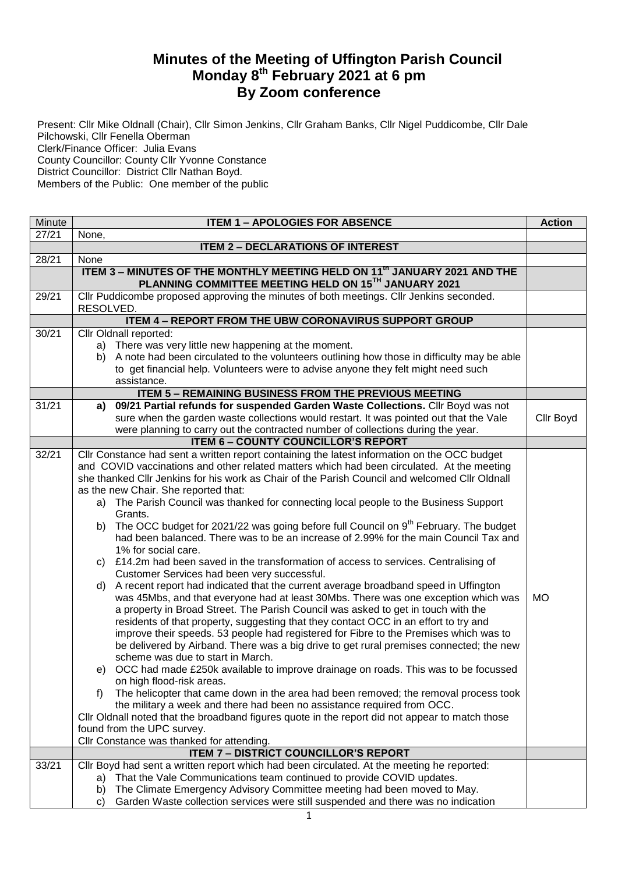## **Minutes of the Meeting of Uffington Parish Council Monday 8 th February 2021 at 6 pm By Zoom conference**

Present: Cllr Mike Oldnall (Chair), Cllr Simon Jenkins, Cllr Graham Banks, Cllr Nigel Puddicombe, Cllr Dale Pilchowski, Cllr Fenella Oberman Clerk/Finance Officer: Julia Evans County Councillor: County Cllr Yvonne Constance District Councillor: District Cllr Nathan Boyd. Members of the Public: One member of the public

| Minute | <b>ITEM 1 - APOLOGIES FOR ABSENCE</b>                                                                                                                                                          | <b>Action</b> |
|--------|------------------------------------------------------------------------------------------------------------------------------------------------------------------------------------------------|---------------|
| 27/21  | None,                                                                                                                                                                                          |               |
|        | <b>ITEM 2 - DECLARATIONS OF INTEREST</b>                                                                                                                                                       |               |
| 28/21  | None                                                                                                                                                                                           |               |
|        | ITEM 3 - MINUTES OF THE MONTHLY MEETING HELD ON 11th JANUARY 2021 AND THE<br>PLANNING COMMITTEE MEETING HELD ON 15TH JANUARY 2021                                                              |               |
| 29/21  | Cllr Puddicombe proposed approving the minutes of both meetings. Cllr Jenkins seconded.<br>RESOLVED.                                                                                           |               |
|        | <b>ITEM 4 - REPORT FROM THE UBW CORONAVIRUS SUPPORT GROUP</b>                                                                                                                                  |               |
| 30/21  | Cllr Oldnall reported:                                                                                                                                                                         |               |
|        | a) There was very little new happening at the moment.                                                                                                                                          |               |
|        | b) A note had been circulated to the volunteers outlining how those in difficulty may be able                                                                                                  |               |
|        | to get financial help. Volunteers were to advise anyone they felt might need such                                                                                                              |               |
|        | assistance.                                                                                                                                                                                    |               |
|        | <b>ITEM 5 - REMAINING BUSINESS FROM THE PREVIOUS MEETING</b>                                                                                                                                   |               |
| 31/21  | 09/21 Partial refunds for suspended Garden Waste Collections. Cllr Boyd was not<br>a)                                                                                                          |               |
|        | sure when the garden waste collections would restart. It was pointed out that the Vale                                                                                                         | Cllr Boyd     |
|        | were planning to carry out the contracted number of collections during the year.                                                                                                               |               |
|        | <b>ITEM 6 - COUNTY COUNCILLOR'S REPORT</b>                                                                                                                                                     |               |
| 32/21  | Cllr Constance had sent a written report containing the latest information on the OCC budget                                                                                                   |               |
|        | and COVID vaccinations and other related matters which had been circulated. At the meeting                                                                                                     |               |
|        | she thanked Cllr Jenkins for his work as Chair of the Parish Council and welcomed Cllr Oldnall                                                                                                 |               |
|        | as the new Chair. She reported that:                                                                                                                                                           |               |
|        | a) The Parish Council was thanked for connecting local people to the Business Support                                                                                                          |               |
|        | Grants.                                                                                                                                                                                        |               |
|        | The OCC budget for 2021/22 was going before full Council on 9 <sup>th</sup> February. The budget<br>b)<br>had been balanced. There was to be an increase of 2.99% for the main Council Tax and |               |
|        | 1% for social care.                                                                                                                                                                            |               |
|        | c) £14.2m had been saved in the transformation of access to services. Centralising of<br>Customer Services had been very successful.                                                           |               |
|        | d) A recent report had indicated that the current average broadband speed in Uffington                                                                                                         |               |
|        | was 45Mbs, and that everyone had at least 30Mbs. There was one exception which was                                                                                                             | <b>MO</b>     |
|        | a property in Broad Street. The Parish Council was asked to get in touch with the                                                                                                              |               |
|        | residents of that property, suggesting that they contact OCC in an effort to try and                                                                                                           |               |
|        | improve their speeds. 53 people had registered for Fibre to the Premises which was to                                                                                                          |               |
|        | be delivered by Airband. There was a big drive to get rural premises connected; the new                                                                                                        |               |
|        | scheme was due to start in March.                                                                                                                                                              |               |
|        | e) OCC had made £250k available to improve drainage on roads. This was to be focussed                                                                                                          |               |
|        | on high flood-risk areas.                                                                                                                                                                      |               |
|        | The helicopter that came down in the area had been removed; the removal process took<br>f)                                                                                                     |               |
|        | the military a week and there had been no assistance required from OCC.                                                                                                                        |               |
|        | Cllr Oldnall noted that the broadband figures quote in the report did not appear to match those                                                                                                |               |
|        | found from the UPC survey.                                                                                                                                                                     |               |
|        | Cllr Constance was thanked for attending.                                                                                                                                                      |               |
|        | <b>ITEM 7 - DISTRICT COUNCILLOR'S REPORT</b>                                                                                                                                                   |               |
| 33/21  | Cllr Boyd had sent a written report which had been circulated. At the meeting he reported:                                                                                                     |               |
|        | a) That the Vale Communications team continued to provide COVID updates.                                                                                                                       |               |
|        | b) The Climate Emergency Advisory Committee meeting had been moved to May.                                                                                                                     |               |
|        | Garden Waste collection services were still suspended and there was no indication<br>C)                                                                                                        |               |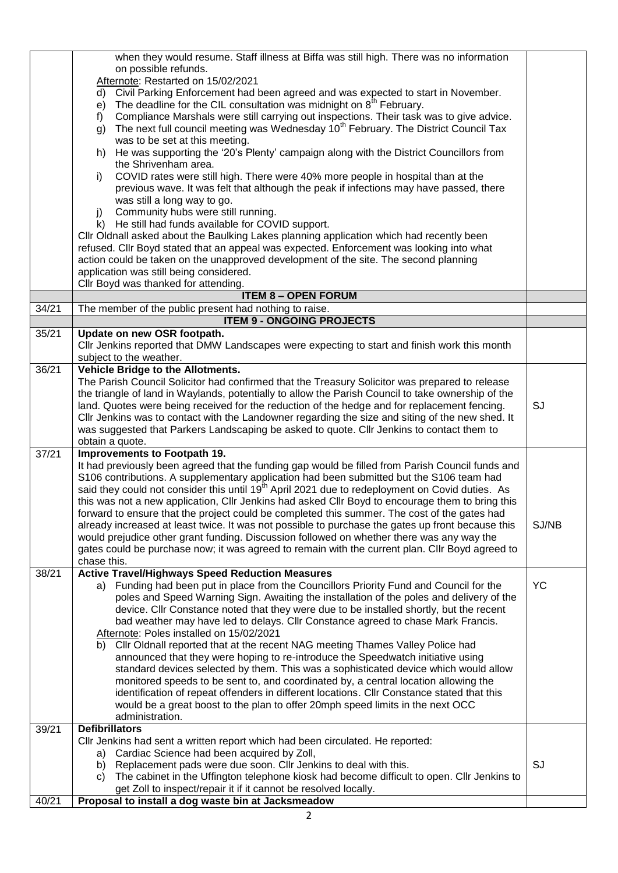|       | when they would resume. Staff illness at Biffa was still high. There was no information                                                                                                                 |           |
|-------|---------------------------------------------------------------------------------------------------------------------------------------------------------------------------------------------------------|-----------|
|       | on possible refunds.                                                                                                                                                                                    |           |
|       | Afternote: Restarted on 15/02/2021                                                                                                                                                                      |           |
|       | Civil Parking Enforcement had been agreed and was expected to start in November.<br>d)                                                                                                                  |           |
|       | The deadline for the CIL consultation was midnight on 8 <sup>th</sup> February.<br>e)                                                                                                                   |           |
|       | Compliance Marshals were still carrying out inspections. Their task was to give advice.<br>f)                                                                                                           |           |
|       | The next full council meeting was Wednesday 10 <sup>th</sup> February. The District Council Tax<br>g)                                                                                                   |           |
|       | was to be set at this meeting.                                                                                                                                                                          |           |
|       | He was supporting the '20's Plenty' campaign along with the District Councillors from<br>h)<br>the Shrivenham area.                                                                                     |           |
|       | COVID rates were still high. There were 40% more people in hospital than at the<br>i)                                                                                                                   |           |
|       | previous wave. It was felt that although the peak if infections may have passed, there                                                                                                                  |           |
|       | was still a long way to go.                                                                                                                                                                             |           |
|       | Community hubs were still running.<br>j)                                                                                                                                                                |           |
|       | k) He still had funds available for COVID support.                                                                                                                                                      |           |
|       | Cllr Oldnall asked about the Baulking Lakes planning application which had recently been                                                                                                                |           |
|       | refused. Cllr Boyd stated that an appeal was expected. Enforcement was looking into what                                                                                                                |           |
|       | action could be taken on the unapproved development of the site. The second planning                                                                                                                    |           |
|       | application was still being considered.                                                                                                                                                                 |           |
|       | Cllr Boyd was thanked for attending.                                                                                                                                                                    |           |
|       | <b>ITEM 8 - OPEN FORUM</b>                                                                                                                                                                              |           |
| 34/21 | The member of the public present had nothing to raise.                                                                                                                                                  |           |
|       | <b>ITEM 9 - ONGOING PROJECTS</b>                                                                                                                                                                        |           |
| 35/21 | Update on new OSR footpath.                                                                                                                                                                             |           |
|       | CIIr Jenkins reported that DMW Landscapes were expecting to start and finish work this month                                                                                                            |           |
|       | subject to the weather.                                                                                                                                                                                 |           |
| 36/21 | Vehicle Bridge to the Allotments.                                                                                                                                                                       |           |
|       | The Parish Council Solicitor had confirmed that the Treasury Solicitor was prepared to release                                                                                                          |           |
|       | the triangle of land in Waylands, potentially to allow the Parish Council to take ownership of the                                                                                                      |           |
|       | land. Quotes were being received for the reduction of the hedge and for replacement fencing.                                                                                                            | SJ        |
|       | Cllr Jenkins was to contact with the Landowner regarding the size and siting of the new shed. It                                                                                                        |           |
|       | was suggested that Parkers Landscaping be asked to quote. Cllr Jenkins to contact them to                                                                                                               |           |
|       | obtain a quote.                                                                                                                                                                                         |           |
| 37/21 | Improvements to Footpath 19.                                                                                                                                                                            |           |
|       | It had previously been agreed that the funding gap would be filled from Parish Council funds and                                                                                                        |           |
|       | S106 contributions. A supplementary application had been submitted but the S106 team had<br>said they could not consider this until 19 <sup>th</sup> April 2021 due to redeployment on Covid duties. As |           |
|       | this was not a new application, Cllr Jenkins had asked Cllr Boyd to encourage them to bring this                                                                                                        |           |
|       | forward to ensure that the project could be completed this summer. The cost of the gates had                                                                                                            |           |
|       | already increased at least twice. It was not possible to purchase the gates up front because this                                                                                                       | SJ/NB     |
|       | would prejudice other grant funding. Discussion followed on whether there was any way the                                                                                                               |           |
|       | gates could be purchase now; it was agreed to remain with the current plan. Cllr Boyd agreed to                                                                                                         |           |
|       | chase this.                                                                                                                                                                                             |           |
| 38/21 | <b>Active Travel/Highways Speed Reduction Measures</b>                                                                                                                                                  |           |
|       | a) Funding had been put in place from the Councillors Priority Fund and Council for the                                                                                                                 | <b>YC</b> |
|       | poles and Speed Warning Sign. Awaiting the installation of the poles and delivery of the                                                                                                                |           |
|       | device. Cllr Constance noted that they were due to be installed shortly, but the recent                                                                                                                 |           |
|       | bad weather may have led to delays. Cllr Constance agreed to chase Mark Francis.                                                                                                                        |           |
|       | Afternote: Poles installed on 15/02/2021                                                                                                                                                                |           |
|       | CIIr Oldnall reported that at the recent NAG meeting Thames Valley Police had<br>b).                                                                                                                    |           |
|       | announced that they were hoping to re-introduce the Speedwatch initiative using                                                                                                                         |           |
|       | standard devices selected by them. This was a sophisticated device which would allow                                                                                                                    |           |
|       | monitored speeds to be sent to, and coordinated by, a central location allowing the                                                                                                                     |           |
|       | identification of repeat offenders in different locations. Cllr Constance stated that this                                                                                                              |           |
|       | would be a great boost to the plan to offer 20mph speed limits in the next OCC                                                                                                                          |           |
|       | administration.                                                                                                                                                                                         |           |
| 39/21 | <b>Defibrillators</b>                                                                                                                                                                                   |           |
|       | Cllr Jenkins had sent a written report which had been circulated. He reported:                                                                                                                          |           |
|       | a) Cardiac Science had been acquired by Zoll,<br>Replacement pads were due soon. Cllr Jenkins to deal with this.<br>b)                                                                                  | SJ        |
|       | The cabinet in the Uffington telephone kiosk had become difficult to open. Cllr Jenkins to<br>C)                                                                                                        |           |
|       | get Zoll to inspect/repair it if it cannot be resolved locally.                                                                                                                                         |           |
| 40/21 | Proposal to install a dog waste bin at Jacksmeadow                                                                                                                                                      |           |
|       |                                                                                                                                                                                                         |           |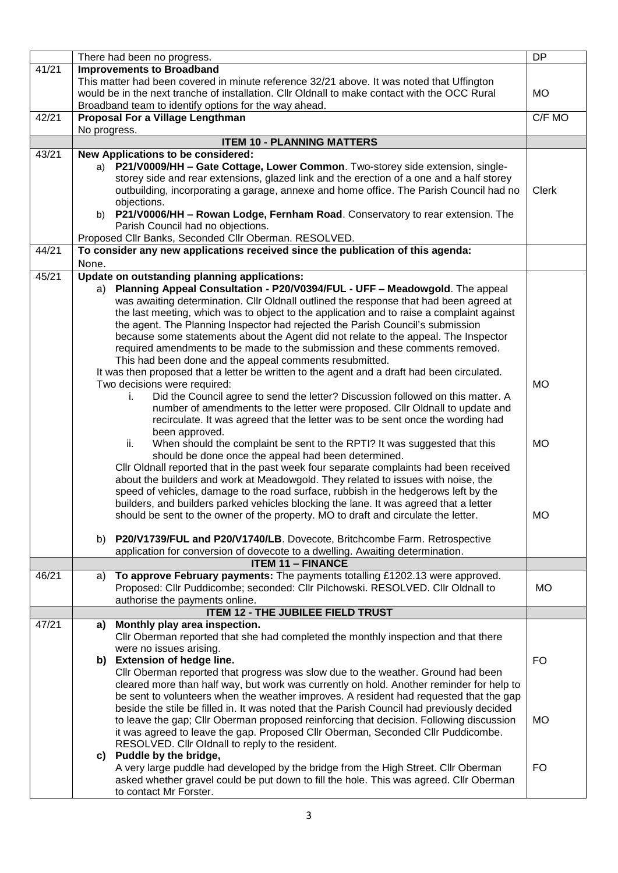|       | There had been no progress.                                                                                                                                              | <b>DP</b>    |
|-------|--------------------------------------------------------------------------------------------------------------------------------------------------------------------------|--------------|
| 41/21 | <b>Improvements to Broadband</b>                                                                                                                                         |              |
|       | This matter had been covered in minute reference 32/21 above. It was noted that Uffington                                                                                |              |
|       | would be in the next tranche of installation. Cllr Oldnall to make contact with the OCC Rural                                                                            | <b>MO</b>    |
|       | Broadband team to identify options for the way ahead.                                                                                                                    |              |
| 42/21 | Proposal For a Village Lengthman                                                                                                                                         | C/F MO       |
|       | No progress.                                                                                                                                                             |              |
|       | <b>ITEM 10 - PLANNING MATTERS</b>                                                                                                                                        |              |
| 43/21 | New Applications to be considered:<br>P21/V0009/HH - Gate Cottage, Lower Common. Two-storey side extension, single-<br>a)                                                |              |
|       | storey side and rear extensions, glazed link and the erection of a one and a half storey                                                                                 |              |
|       | outbuilding, incorporating a garage, annexe and home office. The Parish Council had no                                                                                   | <b>Clerk</b> |
|       | objections.                                                                                                                                                              |              |
|       | b) P21/V0006/HH - Rowan Lodge, Fernham Road. Conservatory to rear extension. The                                                                                         |              |
|       | Parish Council had no objections.                                                                                                                                        |              |
|       | Proposed Cllr Banks, Seconded Cllr Oberman. RESOLVED.                                                                                                                    |              |
| 44/21 | To consider any new applications received since the publication of this agenda:                                                                                          |              |
|       | None.                                                                                                                                                                    |              |
| 45/21 | Update on outstanding planning applications:                                                                                                                             |              |
|       | a) Planning Appeal Consultation - P20/V0394/FUL - UFF - Meadowgold. The appeal                                                                                           |              |
|       | was awaiting determination. Cllr Oldnall outlined the response that had been agreed at                                                                                   |              |
|       | the last meeting, which was to object to the application and to raise a complaint against                                                                                |              |
|       | the agent. The Planning Inspector had rejected the Parish Council's submission<br>because some statements about the Agent did not relate to the appeal. The Inspector    |              |
|       | required amendments to be made to the submission and these comments removed.                                                                                             |              |
|       | This had been done and the appeal comments resubmitted.                                                                                                                  |              |
|       | It was then proposed that a letter be written to the agent and a draft had been circulated.                                                                              |              |
|       | Two decisions were required:                                                                                                                                             | <b>MO</b>    |
|       | Did the Council agree to send the letter? Discussion followed on this matter. A<br>Ĺ.                                                                                    |              |
|       | number of amendments to the letter were proposed. Cllr Oldnall to update and                                                                                             |              |
|       | recirculate. It was agreed that the letter was to be sent once the wording had                                                                                           |              |
|       | been approved.                                                                                                                                                           |              |
|       | ii.<br>When should the complaint be sent to the RPTI? It was suggested that this                                                                                         | <b>MO</b>    |
|       | should be done once the appeal had been determined.                                                                                                                      |              |
|       | Cllr Oldnall reported that in the past week four separate complaints had been received                                                                                   |              |
|       | about the builders and work at Meadowgold. They related to issues with noise, the<br>speed of vehicles, damage to the road surface, rubbish in the hedgerows left by the |              |
|       | builders, and builders parked vehicles blocking the lane. It was agreed that a letter                                                                                    |              |
|       | should be sent to the owner of the property. MO to draft and circulate the letter.                                                                                       | MO.          |
|       |                                                                                                                                                                          |              |
|       | P20/V1739/FUL and P20/V1740/LB. Dovecote, Britchcombe Farm. Retrospective<br>b)                                                                                          |              |
|       | application for conversion of dovecote to a dwelling. Awaiting determination.                                                                                            |              |
|       | <b>ITEM 11 - FINANCE</b>                                                                                                                                                 |              |
| 46/21 | To approve February payments: The payments totalling £1202.13 were approved.<br>a)                                                                                       |              |
|       | Proposed: Cllr Puddicombe; seconded: Cllr Pilchowski. RESOLVED. Cllr Oldnall to                                                                                          | <b>MO</b>    |
|       | authorise the payments online.                                                                                                                                           |              |
| 47/21 | <b>ITEM 12 - THE JUBILEE FIELD TRUST</b><br>a) Monthly play area inspection.                                                                                             |              |
|       | Cllr Oberman reported that she had completed the monthly inspection and that there                                                                                       |              |
|       | were no issues arising.                                                                                                                                                  |              |
|       | b) Extension of hedge line.                                                                                                                                              | <b>FO</b>    |
|       | CIIr Oberman reported that progress was slow due to the weather. Ground had been                                                                                         |              |
|       | cleared more than half way, but work was currently on hold. Another reminder for help to                                                                                 |              |
|       | be sent to volunteers when the weather improves. A resident had requested that the gap                                                                                   |              |
|       | beside the stile be filled in. It was noted that the Parish Council had previously decided                                                                               |              |
|       | to leave the gap; Cllr Oberman proposed reinforcing that decision. Following discussion                                                                                  | <b>MO</b>    |
|       | it was agreed to leave the gap. Proposed Cllr Oberman, Seconded Cllr Puddicombe.                                                                                         |              |
|       | RESOLVED. Cllr Oldnall to reply to the resident.                                                                                                                         |              |
|       | c) Puddle by the bridge,<br>A very large puddle had developed by the bridge from the High Street. Cllr Oberman                                                           | <b>FO</b>    |
|       | asked whether gravel could be put down to fill the hole. This was agreed. Cllr Oberman                                                                                   |              |
|       | to contact Mr Forster.                                                                                                                                                   |              |
|       |                                                                                                                                                                          |              |